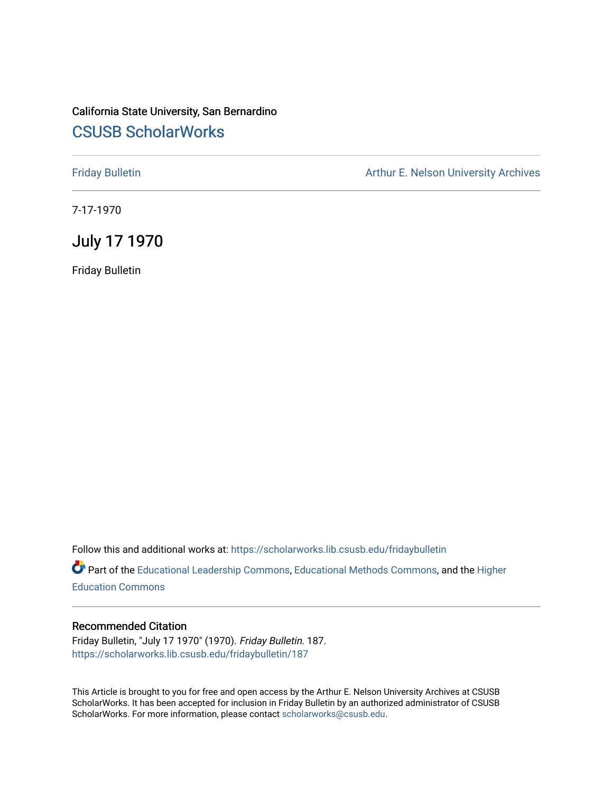## California State University, San Bernardino [CSUSB ScholarWorks](https://scholarworks.lib.csusb.edu/)

[Friday Bulletin](https://scholarworks.lib.csusb.edu/fridaybulletin) **Arthur E. Nelson University Archives** Arthur E. Nelson University Archives

7-17-1970

July 17 1970

Friday Bulletin

Follow this and additional works at: [https://scholarworks.lib.csusb.edu/fridaybulletin](https://scholarworks.lib.csusb.edu/fridaybulletin?utm_source=scholarworks.lib.csusb.edu%2Ffridaybulletin%2F187&utm_medium=PDF&utm_campaign=PDFCoverPages)

Part of the [Educational Leadership Commons,](http://network.bepress.com/hgg/discipline/1230?utm_source=scholarworks.lib.csusb.edu%2Ffridaybulletin%2F187&utm_medium=PDF&utm_campaign=PDFCoverPages) [Educational Methods Commons,](http://network.bepress.com/hgg/discipline/1227?utm_source=scholarworks.lib.csusb.edu%2Ffridaybulletin%2F187&utm_medium=PDF&utm_campaign=PDFCoverPages) and the [Higher](http://network.bepress.com/hgg/discipline/1245?utm_source=scholarworks.lib.csusb.edu%2Ffridaybulletin%2F187&utm_medium=PDF&utm_campaign=PDFCoverPages) [Education Commons](http://network.bepress.com/hgg/discipline/1245?utm_source=scholarworks.lib.csusb.edu%2Ffridaybulletin%2F187&utm_medium=PDF&utm_campaign=PDFCoverPages) 

## Recommended Citation

Friday Bulletin, "July 17 1970" (1970). Friday Bulletin. 187. [https://scholarworks.lib.csusb.edu/fridaybulletin/187](https://scholarworks.lib.csusb.edu/fridaybulletin/187?utm_source=scholarworks.lib.csusb.edu%2Ffridaybulletin%2F187&utm_medium=PDF&utm_campaign=PDFCoverPages)

This Article is brought to you for free and open access by the Arthur E. Nelson University Archives at CSUSB ScholarWorks. It has been accepted for inclusion in Friday Bulletin by an authorized administrator of CSUSB ScholarWorks. For more information, please contact [scholarworks@csusb.edu.](mailto:scholarworks@csusb.edu)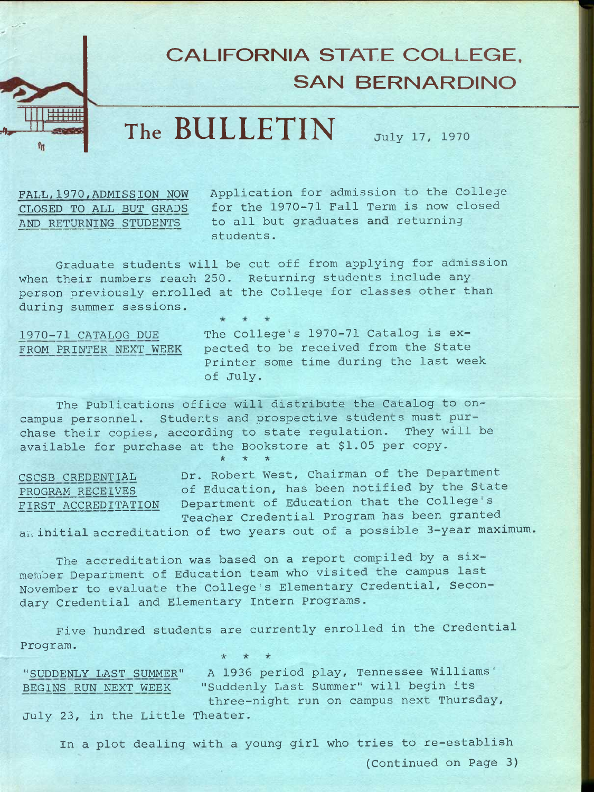

**The BULLETIN July 17, 1970** 

**FALL.1970,ADMISSION NOW CLOSED TO ALL BUT GRABS AND RETURNING STUDENTS** 

**v-**

**Application for admission to the College for the 1970-71 Fall Term is now closed to all but graduates and returning students.** 

**Graduate students will be cut off from applying for admission when their numbers reach 250. Returning students include any person previously enrolled at the College for classes other than during summer sessions.** 

**1970-71 CATALOG DUE** 

**FROM PRINTER NEXT WEEK pected to be received from the State The College's 1970-71 Catalog is ex-Printer some time during the last week of July.** 

**The Publications office will distribute the Catalog to oncampus personnel. Students and prospective students must purchase their copies, according to state regulation. They will be available for purchase at the Bookstore at \$1.05 per copy.**  \* \* \*

**CSCSB CREDENTIAL Dr. Robert West, Chairman of the Department PROGRAM RECEIVES of Education, has been notified by the State FIRST ACCREDITATION Department of Education that the College's Teacher Credential Program has been granted an initial accreditation of two years out of a possible 3—year maximum.** 

**The accreditation was based on a report compiled by a sixmember Department of Education team who visited the campus last November to evaluate the College's Elementary Credential, Secondary Credential and Elementary Intern Programs.** 

**Five hundred students are currently enrolled in the Credential Program.**  *•k if 'k* 

**"SUDDENLY LAST SUMMER" A 1936 period play, Tennessee Williams' BEGINS RUN NEXT WEEK "Suddenly Last Summer" will begin its three-night run on campus next Thursday, July 23, in the Little Theater.** 

**In a plot dealing with a young girl who tries to re-establish (Continued on Page 3)**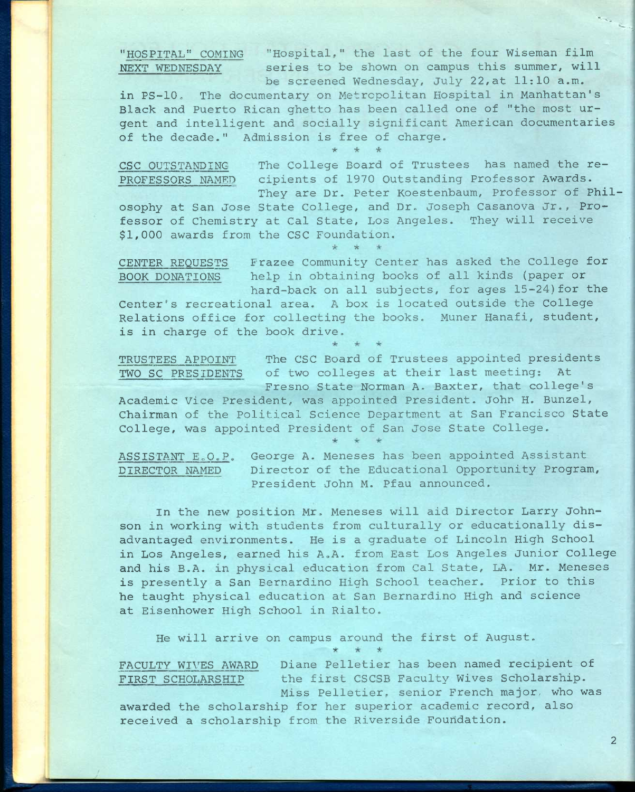**"HOSPITAL" COMING "Hospital," the last of the four Wiseman film NEXT WEDNESDAY series to be shown on campus this summer, will be screened Wednesday, July 22,at 11:10 a.m.** 

**in PS-10, The documentary on Metropolitan Hospital in Manhattan's Black and Puerto Rican ghetto has been called one of "the most urgent and intelligent and socially significant American documentaries of the decade." Admission is free of charge.**  \* \* \*

**CSC OUTSTANDING The College Board of Trustees has named the re-PROFESSORS NAMED cipients of 1970 Outstanding Professor Awards. They are Dr. Peter Koestenbaum, Professor of Phil-**

**osophy at San Jose State College, and Dr. Joseph Casanova Jr., Professor of Chemistry at Cal State, Los Angeles. They will receive \$1,000 awards from the CSC Foundation.** 

 $\star$ 

**CENTER REQUESTS Frazee Community Center has asked the College for BOOK DONATIONS help in obtaining books of all kinds (paper or hard-back on all subjects, for ages 15-24)for the** 

**Center's recreational area. A box is located outside the College Relations office for collecting the books. Muner Hanafi, student, is in charge of the book drive.** 

**TRUSTEES APPOINT The CSC Board of Trustees appointed presidents TWO SC PRESIDENTS of two colleges at their last meeting: At Fresno State Norman A. Baxter, that college's** 

**Academic Vice President, was appointed President. John H. Bunzel, Chairman of the Political Science Department at San Francisco State College, was appointed President of San Jose State College.** 

ASSISTANT E.O.P. George A. Meneses has been appointed Assistant **DIRECTOR NAMED Director of the Educational Opportunity Program, President John M. Pfau announced.** 

**In the new position Mr, Meneses will aid Director Larry Johnson in working with students from culturally or educationally disadvantaged environments. He is a graduate of Lincoln High School in Los Angeles, earned his A,A. from East Los Angeles Junior College and his B.A. in physical education from Cal State, LA. Mr. Meneses is presently a San Bernardino High School teacher. Prior to this he taught physical education at San Bernardino High and science at Eisenhower High School in Rialto.** 

**He will arrive on campus around the first of August.** 

**FACULTY WIVES AWARD Diane Pelletier has been named recipient of FIRST SCHOLARSHIP the first CSCSB Faculty Wives Scholarship. Miss Pelletier, senior French major, who was** 

**awarded the scholarship for her superior academic record, also received a scholarship from the Riverside Foundation.** 

**'5^ 'iAj'**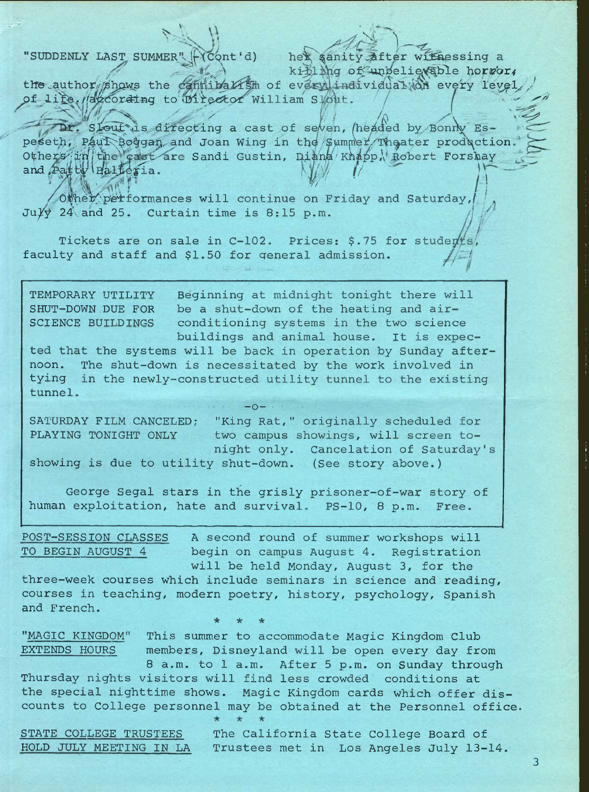"SUDDENLY LAST SUMMER"

(Cont'd) her sanity after withessing a killing of unbelievable horror,

the author shows the cannibalism of every individual win every level, of life. Wazcoraing to Director William Slout.

Dr. Slout is directing a cast of seven, (headed by Bonny Espeseth, Paul Boggan and Joan Wing in the Summer Theater production. Others/inithe cast are Sandi Gustin, Diana Knapp, Robert Forshay and Patty Balleria.

Other performances will continue on Friday and Saturday,  $Ju/\sqrt{24}$  and 25. Curtain time is 8:15 p.m.

Tickets are on sale in C-102. Prices: \$.75 for studerts faculty and staff and \$1.50 for general admission.

Beginning at midnight tonight there will TEMPORARY UTILITY be a shut-down of the heating and air-SHUT-DOWN DUE FOR SCIENCE BUILDINGS conditioning systems in the two science buildings and animal house. It is expec-

ted that the systems will be back in operation by Sunday afternoon. The shut-down is necessitated by the work involved in tying in the newly-constructed utility tunnel to the existing tunnel.

 $-0-$ 

SATURDAY FILM CANCELED; "King Rat," originally scheduled for PLAYING TONIGHT ONLY two campus showings, will screen tonight only. Cancelation of Saturday's showing is due to utility shut-down. (See story above.)

George Segal stars in the grisly prisoner-of-war story of human exploitation, hate and survival. PS-10, 8 p.m. Free.

A second round of summer workshops will POST-SESSION CLASSES TO BEGIN AUGUST 4 begin on campus August 4. Registration will be held Monday, August 3, for the

three-week courses which include seminars in science and reading, courses in teaching, modern poetry, history, psychology, Spanish and French.

"MAGIC KINGDOM" This summer to accommodate Magic Kingdom Club EXTENDS HOURS members, Disneyland will be open every day from 8 a.m. to 1 a.m. After 5 p.m. on Sunday through Thursday nights visitors will find less crowded conditions at the special nighttime shows. Magic Kingdom cards which offer discounts to College personnel may be obtained at the Personnel office.

STATE COLLEGE TRUSTEES

The California State College Board of HOLD JULY MEETING IN LA Trustees met in Los Angeles July 13-14.

3